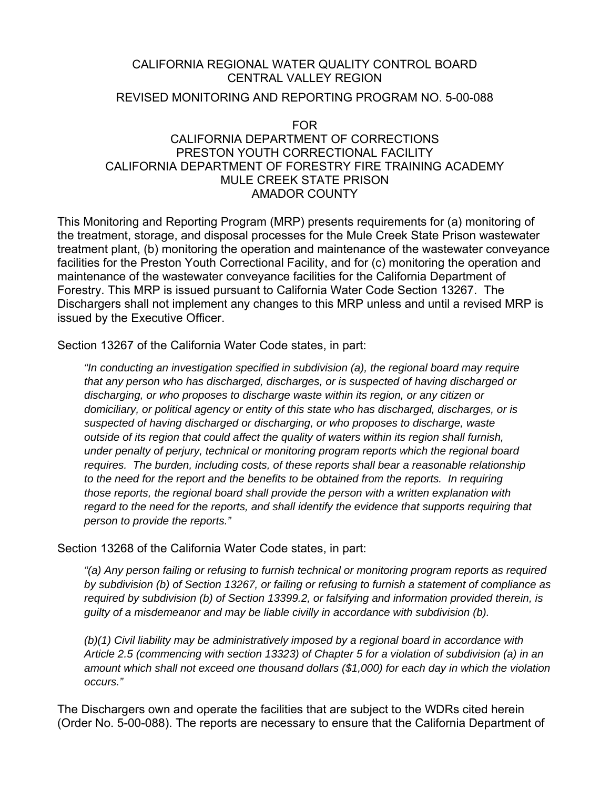### CALIFORNIA REGIONAL WATER QUALITY CONTROL BOARD CENTRAL VALLEY REGION

## REVISED MONITORING AND REPORTING PROGRAM NO. 5-00-088

### FOR CALIFORNIA DEPARTMENT OF CORRECTIONS PRESTON YOUTH CORRECTIONAL FACILITY CALIFORNIA DEPARTMENT OF FORESTRY FIRE TRAINING ACADEMY MULE CREEK STATE PRISON AMADOR COUNTY

This Monitoring and Reporting Program (MRP) presents requirements for (a) monitoring of the treatment, storage, and disposal processes for the Mule Creek State Prison wastewater treatment plant, (b) monitoring the operation and maintenance of the wastewater conveyance facilities for the Preston Youth Correctional Facility, and for (c) monitoring the operation and maintenance of the wastewater conveyance facilities for the California Department of Forestry. This MRP is issued pursuant to California Water Code Section 13267. The Dischargers shall not implement any changes to this MRP unless and until a revised MRP is issued by the Executive Officer.

Section 13267 of the California Water Code states, in part:

*"In conducting an investigation specified in subdivision (a), the regional board may require that any person who has discharged, discharges, or is suspected of having discharged or discharging, or who proposes to discharge waste within its region, or any citizen or domiciliary, or political agency or entity of this state who has discharged, discharges, or is suspected of having discharged or discharging, or who proposes to discharge, waste outside of its region that could affect the quality of waters within its region shall furnish, under penalty of perjury, technical or monitoring program reports which the regional board requires. The burden, including costs, of these reports shall bear a reasonable relationship to the need for the report and the benefits to be obtained from the reports. In requiring those reports, the regional board shall provide the person with a written explanation with regard to the need for the reports, and shall identify the evidence that supports requiring that person to provide the reports."* 

Section 13268 of the California Water Code states, in part:

*"(a) Any person failing or refusing to furnish technical or monitoring program reports as required by subdivision (b) of Section 13267, or failing or refusing to furnish a statement of compliance as required by subdivision (b) of Section 13399.2, or falsifying and information provided therein, is guilty of a misdemeanor and may be liable civilly in accordance with subdivision (b).* 

*(b)(1) Civil liability may be administratively imposed by a regional board in accordance with Article 2.5 (commencing with section 13323) of Chapter 5 for a violation of subdivision (a) in an amount which shall not exceed one thousand dollars (\$1,000) for each day in which the violation occurs."* 

The Dischargers own and operate the facilities that are subject to the WDRs cited herein (Order No. 5-00-088). The reports are necessary to ensure that the California Department of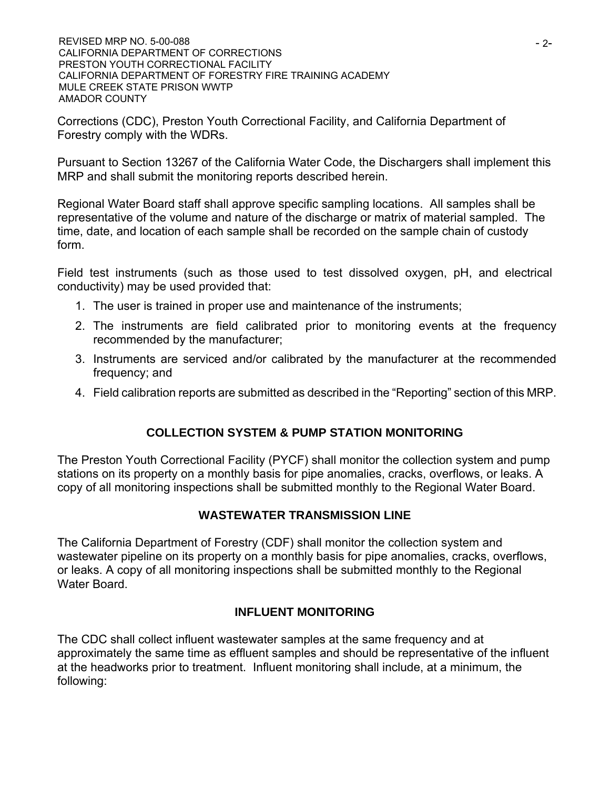Corrections (CDC), Preston Youth Correctional Facility, and California Department of Forestry comply with the WDRs.

Pursuant to Section 13267 of the California Water Code, the Dischargers shall implement this MRP and shall submit the monitoring reports described herein.

Regional Water Board staff shall approve specific sampling locations. All samples shall be representative of the volume and nature of the discharge or matrix of material sampled. The time, date, and location of each sample shall be recorded on the sample chain of custody form.

Field test instruments (such as those used to test dissolved oxygen, pH, and electrical conductivity) may be used provided that:

- 1. The user is trained in proper use and maintenance of the instruments;
- 2. The instruments are field calibrated prior to monitoring events at the frequency recommended by the manufacturer;
- 3. Instruments are serviced and/or calibrated by the manufacturer at the recommended frequency; and
- 4. Field calibration reports are submitted as described in the "Reporting" section of this MRP.

# **COLLECTION SYSTEM & PUMP STATION MONITORING**

The Preston Youth Correctional Facility (PYCF) shall monitor the collection system and pump stations on its property on a monthly basis for pipe anomalies, cracks, overflows, or leaks. A copy of all monitoring inspections shall be submitted monthly to the Regional Water Board.

# **WASTEWATER TRANSMISSION LINE**

The California Department of Forestry (CDF) shall monitor the collection system and wastewater pipeline on its property on a monthly basis for pipe anomalies, cracks, overflows, or leaks. A copy of all monitoring inspections shall be submitted monthly to the Regional Water Board.

# **INFLUENT MONITORING**

The CDC shall collect influent wastewater samples at the same frequency and at approximately the same time as effluent samples and should be representative of the influent at the headworks prior to treatment. Influent monitoring shall include, at a minimum, the following: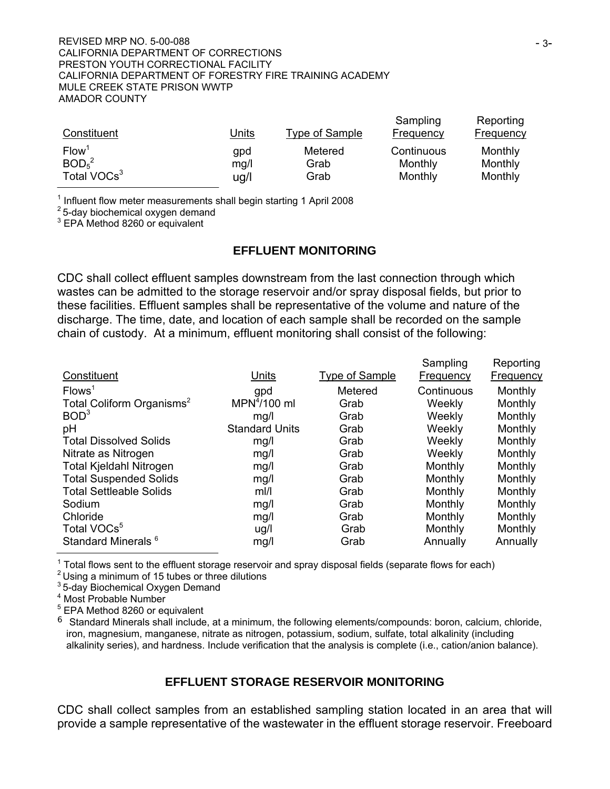| Constituent                   | <u>Units</u> | <b>Type of Sample</b> | Sampling<br><b>Frequency</b> | Reporting<br><b>Frequency</b> |
|-------------------------------|--------------|-----------------------|------------------------------|-------------------------------|
| Flow <sup>1</sup>             | gpd          | Metered               | Continuous                   | Monthly                       |
| BOD <sub>5</sub> <sup>2</sup> | mg/l         | Grab                  | Monthly                      | Monthly                       |
| Total VOCs <sup>3</sup>       | ug/l         | Grab                  | Monthly                      | Monthly                       |

 $<sup>1</sup>$  Influent flow meter measurements shall begin starting 1 April 2008</sup>

 $2$  5-day biochemical oxygen demand

3 EPA Method 8260 or equivalent

#### **EFFLUENT MONITORING**

CDC shall collect effluent samples downstream from the last connection through which wastes can be admitted to the storage reservoir and/or spray disposal fields, but prior to these facilities. Effluent samples shall be representative of the volume and nature of the discharge. The time, date, and location of each sample shall be recorded on the sample chain of custody. At a minimum, effluent monitoring shall consist of the following:

|                                       |                          |                | Sampling         | Reporting        |
|---------------------------------------|--------------------------|----------------|------------------|------------------|
| Constituent                           | Units                    | Type of Sample | <b>Frequency</b> | <b>Frequency</b> |
| Flows <sup>1</sup>                    | gpd                      | Metered        | Continuous       | Monthly          |
| Total Coliform Organisms <sup>2</sup> | MPN <sup>4</sup> /100 ml | Grab           | Weekly           | Monthly          |
| BOD <sup>3</sup>                      | mq/l                     | Grab           | Weekly           | Monthly          |
| pH                                    | <b>Standard Units</b>    | Grab           | Weekly           | Monthly          |
| <b>Total Dissolved Solids</b>         | mg/l                     | Grab           | Weekly           | Monthly          |
| Nitrate as Nitrogen                   | mg/l                     | Grab           | Weekly           | Monthly          |
| <b>Total Kjeldahl Nitrogen</b>        | mg/l                     | Grab           | Monthly          | Monthly          |
| <b>Total Suspended Solids</b>         | mg/l                     | Grab           | Monthly          | Monthly          |
| <b>Total Settleable Solids</b>        | $m$  /                   | Grab           | Monthly          | Monthly          |
| Sodium                                | mg/l                     | Grab           | Monthly          | Monthly          |
| Chloride                              | mg/l                     | Grab           | Monthly          | Monthly          |
| Total VOCs <sup>5</sup>               | ug/l                     | Grab           | Monthly          | Monthly          |
| Standard Minerals <sup>6</sup>        | mg/l                     | Grab           | Annually         | Annually         |

 $1$  Total flows sent to the effluent storage reservoir and spray disposal fields (separate flows for each)

 $2$  Using a minimum of 15 tubes or three dilutions

<sup>3</sup> 5-day Biochemical Oxygen Demand

4 Most Probable Number

<sup>5</sup> EPA Method 8260 or equivalent

 $6$  Standard Minerals shall include, at a minimum, the following elements/compounds: boron, calcium, chloride, iron, magnesium, manganese, nitrate as nitrogen, potassium, sodium, sulfate, total alkalinity (including alkalinity series), and hardness. Include verification that the analysis is complete (i.e., cation/anion balance).

#### **EFFLUENT STORAGE RESERVOIR MONITORING**

CDC shall collect samples from an established sampling station located in an area that will provide a sample representative of the wastewater in the effluent storage reservoir. Freeboard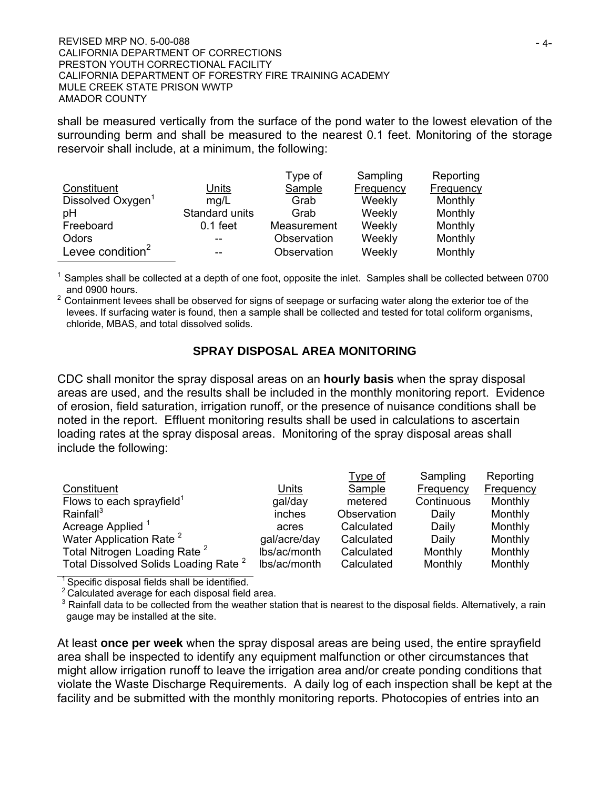shall be measured vertically from the surface of the pond water to the lowest elevation of the surrounding berm and shall be measured to the nearest 0.1 feet. Monitoring of the storage reservoir shall include, at a minimum, the following:

|                               |                | Type of     | Sampling  | Reporting |
|-------------------------------|----------------|-------------|-----------|-----------|
| Constituent                   | Units          | Sample      | Frequency | Frequency |
| Dissolved Oxygen <sup>1</sup> | mq/L           | Grab        | Weekly    | Monthly   |
| pH                            | Standard units | Grab        | Weekly    | Monthly   |
| Freeboard                     | $0.1$ feet     | Measurement | Weekly    | Monthly   |
| Odors                         | --             | Observation | Weekly    | Monthly   |
| Levee condition <sup>2</sup>  | --             | Observation | Weekly    | Monthly   |

 $<sup>1</sup>$  Samples shall be collected at a depth of one foot, opposite the inlet. Samples shall be collected between 0700</sup> and 0900 hours.

 $2$  Containment levees shall be observed for signs of seepage or surfacing water along the exterior toe of the levees. If surfacing water is found, then a sample shall be collected and tested for total coliform organisms, chloride, MBAS, and total dissolved solids.

## **SPRAY DISPOSAL AREA MONITORING**

CDC shall monitor the spray disposal areas on an **hourly basis** when the spray disposal areas are used, and the results shall be included in the monthly monitoring report. Evidence of erosion, field saturation, irrigation runoff, or the presence of nuisance conditions shall be noted in the report. Effluent monitoring results shall be used in calculations to ascertain loading rates at the spray disposal areas. Monitoring of the spray disposal areas shall include the following:

|                                                  |              | Type of     | Sampling   | Reporting |
|--------------------------------------------------|--------------|-------------|------------|-----------|
| Constituent                                      | Units        | Sample      | Frequency  | Frequency |
| Flows to each sprayfield <sup>1</sup>            | gal/day      | metered     | Continuous | Monthly   |
| Rainfall $3$                                     | inches       | Observation | Daily      | Monthly   |
| Acreage Applied <sup>1</sup>                     | acres        | Calculated  | Daily      | Monthly   |
| Water Application Rate <sup>2</sup>              | gal/acre/day | Calculated  | Daily      | Monthly   |
| Total Nitrogen Loading Rate <sup>2</sup>         | lbs/ac/month | Calculated  | Monthly    | Monthly   |
| Total Dissolved Solids Loading Rate <sup>2</sup> | lbs/ac/month | Calculated  | Monthly    | Monthly   |

<sup>1</sup> Specific disposal fields shall be identified.

 $2$  Calculated average for each disposal field area.

 $3$  Rainfall data to be collected from the weather station that is nearest to the disposal fields. Alternatively, a rain gauge may be installed at the site.

At least **once per week** when the spray disposal areas are being used, the entire sprayfield area shall be inspected to identify any equipment malfunction or other circumstances that might allow irrigation runoff to leave the irrigation area and/or create ponding conditions that violate the Waste Discharge Requirements. A daily log of each inspection shall be kept at the facility and be submitted with the monthly monitoring reports. Photocopies of entries into an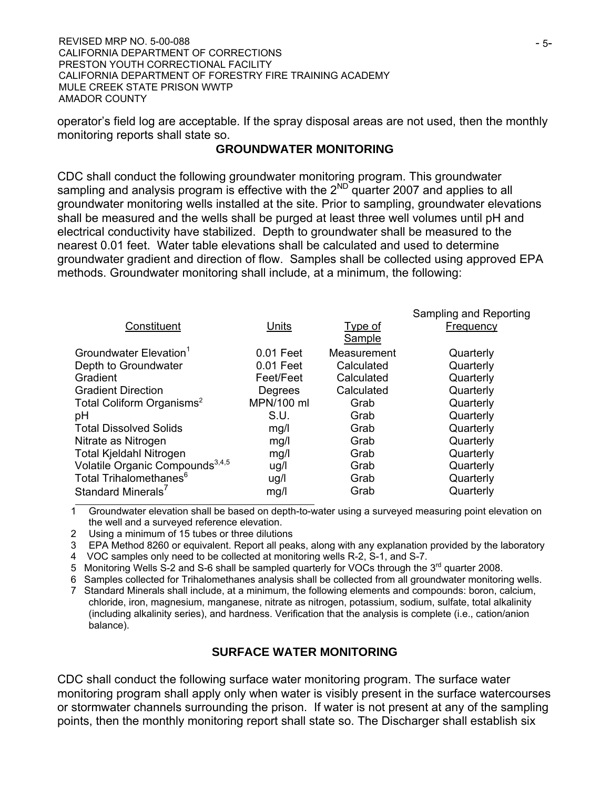operator's field log are acceptable. If the spray disposal areas are not used, then the monthly monitoring reports shall state so.

### **GROUNDWATER MONITORING**

CDC shall conduct the following groundwater monitoring program. This groundwater sampling and analysis program is effective with the  $2^{ND}$  quarter 2007 and applies to all groundwater monitoring wells installed at the site. Prior to sampling, groundwater elevations shall be measured and the wells shall be purged at least three well volumes until pH and electrical conductivity have stabilized. Depth to groundwater shall be measured to the nearest 0.01 feet. Water table elevations shall be calculated and used to determine groundwater gradient and direction of flow. Samples shall be collected using approved EPA methods. Groundwater monitoring shall include, at a minimum, the following:

|                                             |            |                          | Sampling and Reporting |
|---------------------------------------------|------------|--------------------------|------------------------|
| Constituent                                 | Units      | <b>Type of</b><br>Sample | Frequency              |
| Groundwater Elevation <sup>1</sup>          | 0.01 Feet  | Measurement              | Quarterly              |
| Depth to Groundwater                        | 0.01 Feet  | Calculated               | Quarterly              |
| Gradient                                    | Feet/Feet  | Calculated               | Quarterly              |
| <b>Gradient Direction</b>                   | Degrees    | Calculated               | Quarterly              |
| Total Coliform Organisms <sup>2</sup>       | MPN/100 ml | Grab                     | Quarterly              |
| рH                                          | S.U.       | Grab                     | Quarterly              |
| <b>Total Dissolved Solids</b>               | mg/l       | Grab                     | Quarterly              |
| Nitrate as Nitrogen                         | mg/l       | Grab                     | Quarterly              |
| <b>Total Kjeldahl Nitrogen</b>              | mg/l       | Grab                     | Quarterly              |
| Volatile Organic Compounds <sup>3,4,5</sup> | ug/l       | Grab                     | Quarterly              |
| Total Trihalomethanes <sup>6</sup>          | ug/l       | Grab                     | Quarterly              |
| Standard Minerals'                          | mg/l       | Grab                     | Quarterly              |

1 Groundwater elevation shall be based on depth-to-water using a surveyed measuring point elevation on the well and a surveyed reference elevation.

2 Using a minimum of 15 tubes or three dilutions

3 EPA Method 8260 or equivalent. Report all peaks, along with any explanation provided by the laboratory

4 VOC samples only need to be collected at monitoring wells R-2, S-1, and S-7.

5 Monitoring Wells S-2 and S-6 shall be sampled quarterly for VOCs through the 3<sup>rd</sup> quarter 2008.

6 Samples collected for Trihalomethanes analysis shall be collected from all groundwater monitoring wells.

7 Standard Minerals shall include, at a minimum, the following elements and compounds: boron, calcium, chloride, iron, magnesium, manganese, nitrate as nitrogen, potassium, sodium, sulfate, total alkalinity

(including alkalinity series), and hardness. Verification that the analysis is complete (i.e., cation/anion balance).

## **SURFACE WATER MONITORING**

CDC shall conduct the following surface water monitoring program. The surface water monitoring program shall apply only when water is visibly present in the surface watercourses or stormwater channels surrounding the prison. If water is not present at any of the sampling points, then the monthly monitoring report shall state so. The Discharger shall establish six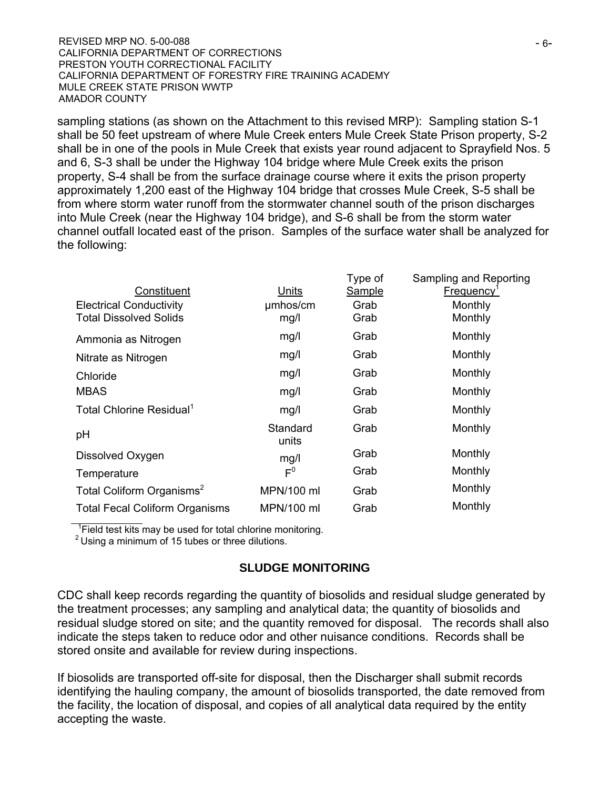sampling stations (as shown on the Attachment to this revised MRP): Sampling station S-1 shall be 50 feet upstream of where Mule Creek enters Mule Creek State Prison property, S-2 shall be in one of the pools in Mule Creek that exists year round adjacent to Sprayfield Nos. 5 and 6, S-3 shall be under the Highway 104 bridge where Mule Creek exits the prison property, S-4 shall be from the surface drainage course where it exits the prison property approximately 1,200 east of the Highway 104 bridge that crosses Mule Creek, S-5 shall be from where storm water runoff from the stormwater channel south of the prison discharges into Mule Creek (near the Highway 104 bridge), and S-6 shall be from the storm water channel outfall located east of the prison. Samples of the surface water shall be analyzed for the following:

|                                       |                   | Type of       | Sampling and Reporting |
|---------------------------------------|-------------------|---------------|------------------------|
| Constituent                           | Units             | <b>Sample</b> | Frequency'             |
| <b>Electrical Conductivity</b>        | umhos/cm          | Grab          | Monthly                |
| <b>Total Dissolved Solids</b>         | mg/l              | Grab          | Monthly                |
| Ammonia as Nitrogen                   | mg/l              | Grab          | Monthly                |
| Nitrate as Nitrogen                   | mg/l              | Grab          | Monthly                |
| Chloride                              | mg/l              | Grab          | Monthly                |
| <b>MBAS</b>                           | mg/l              | Grab          | Monthly                |
| Total Chlorine Residual <sup>1</sup>  | mg/l              | Grab          | Monthly                |
| pH                                    | Standard<br>units | Grab          | Monthly                |
| Dissolved Oxygen                      | mg/l              | Grab          | Monthly                |
| Temperature                           | $F^0$             | Grab          | Monthly                |
| Total Coliform Organisms <sup>2</sup> | MPN/100 ml        | Grab          | Monthly                |
| <b>Total Fecal Coliform Organisms</b> | MPN/100 ml        | Grab          | Monthly                |
|                                       |                   |               |                        |

<sup>1</sup> Field test kits may be used for total chlorine monitoring.

 $2$  Using a minimum of 15 tubes or three dilutions.

## **SLUDGE MONITORING**

CDC shall keep records regarding the quantity of biosolids and residual sludge generated by the treatment processes; any sampling and analytical data; the quantity of biosolids and residual sludge stored on site; and the quantity removed for disposal. The records shall also indicate the steps taken to reduce odor and other nuisance conditions. Records shall be stored onsite and available for review during inspections.

If biosolids are transported off-site for disposal, then the Discharger shall submit records identifying the hauling company, the amount of biosolids transported, the date removed from the facility, the location of disposal, and copies of all analytical data required by the entity accepting the waste.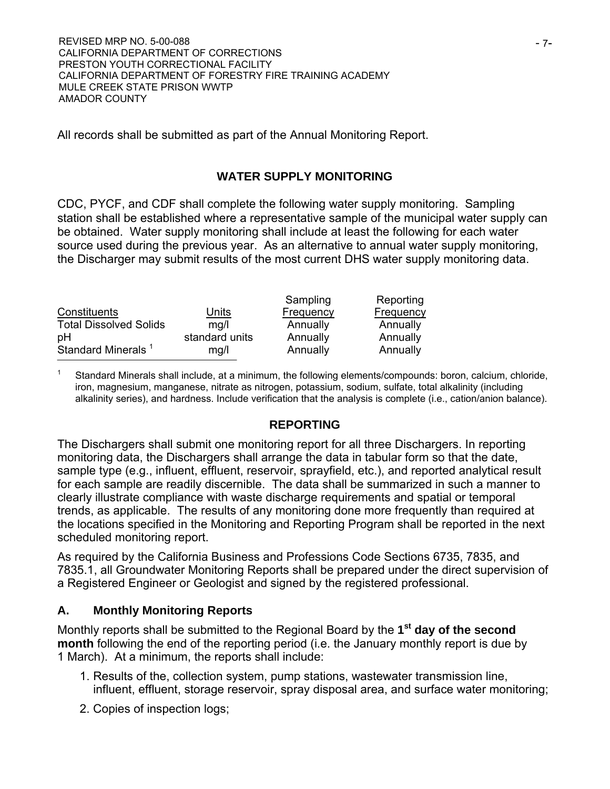All records shall be submitted as part of the Annual Monitoring Report.

## **WATER SUPPLY MONITORING**

CDC, PYCF, and CDF shall complete the following water supply monitoring. Sampling station shall be established where a representative sample of the municipal water supply can be obtained. Water supply monitoring shall include at least the following for each water source used during the previous year. As an alternative to annual water supply monitoring, the Discharger may submit results of the most current DHS water supply monitoring data.

|                                |                | Sampling  | Reporting |
|--------------------------------|----------------|-----------|-----------|
| Constituents                   | Units          | Frequency | Frequency |
| <b>Total Dissolved Solids</b>  | mq/l           | Annually  | Annually  |
| pH                             | standard units | Annually  | Annually  |
| Standard Minerals <sup>1</sup> | mq/l           | Annually  | Annually  |
|                                |                |           |           |

Standard Minerals shall include, at a minimum, the following elements/compounds: boron, calcium, chloride, iron, magnesium, manganese, nitrate as nitrogen, potassium, sodium, sulfate, total alkalinity (including alkalinity series), and hardness. Include verification that the analysis is complete (i.e., cation/anion balance).

#### **REPORTING**

The Dischargers shall submit one monitoring report for all three Dischargers. In reporting monitoring data, the Dischargers shall arrange the data in tabular form so that the date, sample type (e.g., influent, effluent, reservoir, sprayfield, etc.), and reported analytical result for each sample are readily discernible. The data shall be summarized in such a manner to clearly illustrate compliance with waste discharge requirements and spatial or temporal trends, as applicable. The results of any monitoring done more frequently than required at the locations specified in the Monitoring and Reporting Program shall be reported in the next scheduled monitoring report.

As required by the California Business and Professions Code Sections 6735, 7835, and 7835.1, all Groundwater Monitoring Reports shall be prepared under the direct supervision of a Registered Engineer or Geologist and signed by the registered professional.

## **A. Monthly Monitoring Reports**

Monthly reports shall be submitted to the Regional Board by the **1st day of the second month** following the end of the reporting period (i.e. the January monthly report is due by 1 March). At a minimum, the reports shall include:

- 1. Results of the, collection system, pump stations, wastewater transmission line, influent, effluent, storage reservoir, spray disposal area, and surface water monitoring;
- 2. Copies of inspection logs;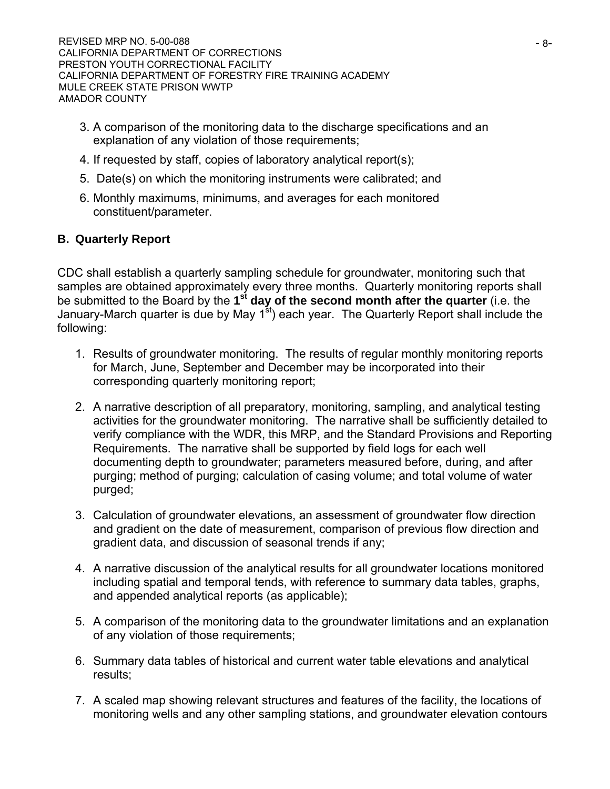- 3. A comparison of the monitoring data to the discharge specifications and an explanation of any violation of those requirements;
- 4. If requested by staff, copies of laboratory analytical report(s);
- 5. Date(s) on which the monitoring instruments were calibrated; and
- 6. Monthly maximums, minimums, and averages for each monitored constituent/parameter.

# **B. Quarterly Report**

CDC shall establish a quarterly sampling schedule for groundwater, monitoring such that samples are obtained approximately every three months. Quarterly monitoring reports shall be submitted to the Board by the **1st day of the second month after the quarter** (i.e. the January-March quarter is due by May  $1<sup>st</sup>$  each year. The Quarterly Report shall include the following:

- 1. Results of groundwater monitoring. The results of regular monthly monitoring reports for March, June, September and December may be incorporated into their corresponding quarterly monitoring report;
- 2. A narrative description of all preparatory, monitoring, sampling, and analytical testing activities for the groundwater monitoring. The narrative shall be sufficiently detailed to verify compliance with the WDR, this MRP, and the Standard Provisions and Reporting Requirements. The narrative shall be supported by field logs for each well documenting depth to groundwater; parameters measured before, during, and after purging; method of purging; calculation of casing volume; and total volume of water purged;
- 3. Calculation of groundwater elevations, an assessment of groundwater flow direction and gradient on the date of measurement, comparison of previous flow direction and gradient data, and discussion of seasonal trends if any;
- 4. A narrative discussion of the analytical results for all groundwater locations monitored including spatial and temporal tends, with reference to summary data tables, graphs, and appended analytical reports (as applicable);
- 5. A comparison of the monitoring data to the groundwater limitations and an explanation of any violation of those requirements;
- 6. Summary data tables of historical and current water table elevations and analytical results;
- 7. A scaled map showing relevant structures and features of the facility, the locations of monitoring wells and any other sampling stations, and groundwater elevation contours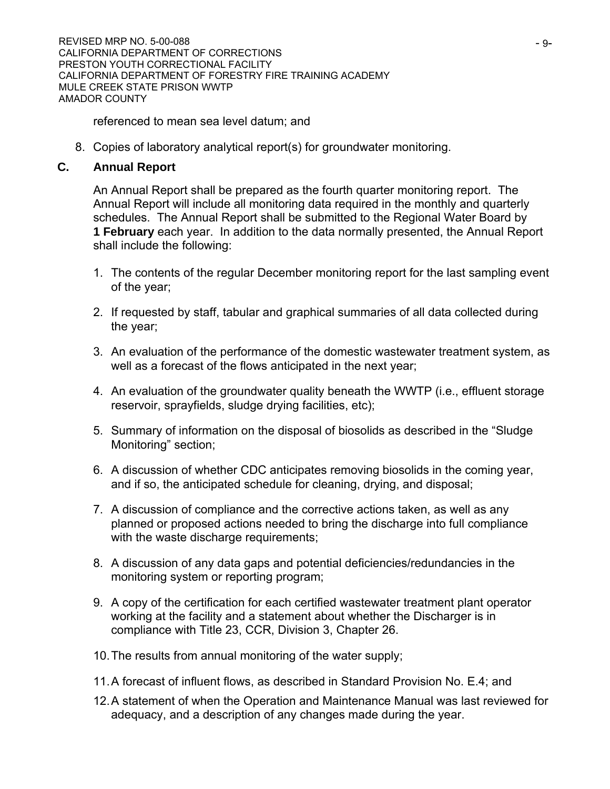referenced to mean sea level datum; and

8. Copies of laboratory analytical report(s) for groundwater monitoring.

## **C. Annual Report**

An Annual Report shall be prepared as the fourth quarter monitoring report. The Annual Report will include all monitoring data required in the monthly and quarterly schedules. The Annual Report shall be submitted to the Regional Water Board by **1 February** each year. In addition to the data normally presented, the Annual Report shall include the following:

- 1. The contents of the regular December monitoring report for the last sampling event of the year;
- 2. If requested by staff, tabular and graphical summaries of all data collected during the year;
- 3. An evaluation of the performance of the domestic wastewater treatment system, as well as a forecast of the flows anticipated in the next year;
- 4. An evaluation of the groundwater quality beneath the WWTP (i.e., effluent storage reservoir, sprayfields, sludge drying facilities, etc);
- 5. Summary of information on the disposal of biosolids as described in the "Sludge Monitoring" section;
- 6. A discussion of whether CDC anticipates removing biosolids in the coming year, and if so, the anticipated schedule for cleaning, drying, and disposal;
- 7. A discussion of compliance and the corrective actions taken, as well as any planned or proposed actions needed to bring the discharge into full compliance with the waste discharge requirements;
- 8. A discussion of any data gaps and potential deficiencies/redundancies in the monitoring system or reporting program;
- 9. A copy of the certification for each certified wastewater treatment plant operator working at the facility and a statement about whether the Discharger is in compliance with Title 23, CCR, Division 3, Chapter 26.
- 10. The results from annual monitoring of the water supply;
- 11. A forecast of influent flows, as described in Standard Provision No. E.4; and
- 12. A statement of when the Operation and Maintenance Manual was last reviewed for adequacy, and a description of any changes made during the year.